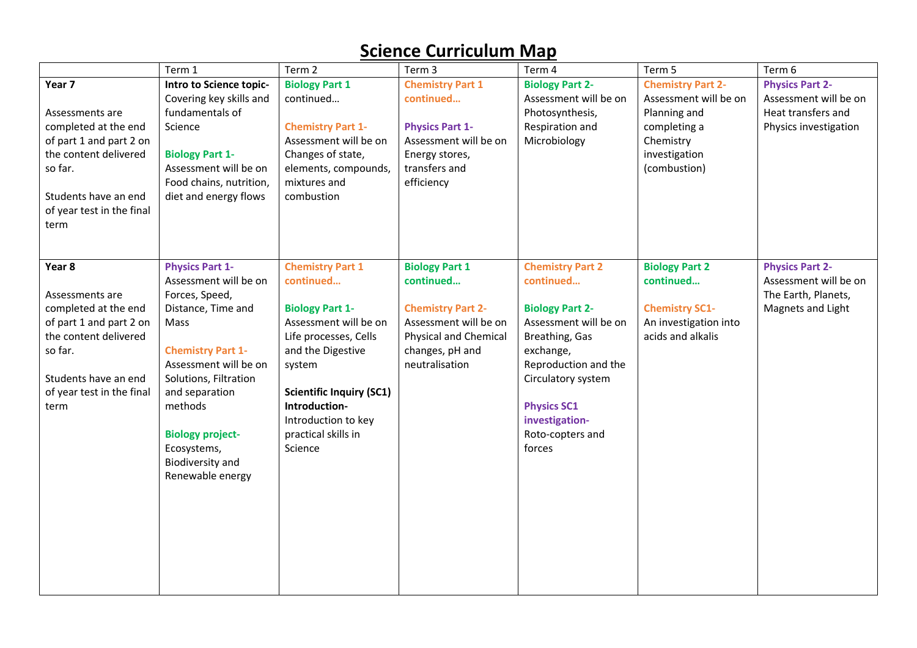|                           | Term 1                                          | Term 2                               | Term 3                             | Term 4                               | Term 5                             | Term 6                                          |
|---------------------------|-------------------------------------------------|--------------------------------------|------------------------------------|--------------------------------------|------------------------------------|-------------------------------------------------|
| Year <sub>7</sub>         | Intro to Science topic-                         | <b>Biology Part 1</b>                | <b>Chemistry Part 1</b>            | <b>Biology Part 2-</b>               | <b>Chemistry Part 2-</b>           | <b>Physics Part 2-</b>                          |
|                           | Covering key skills and                         | continued                            | continued                          | Assessment will be on                | Assessment will be on              | Assessment will be on                           |
| Assessments are           | fundamentals of                                 |                                      |                                    | Photosynthesis,                      | Planning and                       | Heat transfers and                              |
| completed at the end      | Science                                         | <b>Chemistry Part 1-</b>             | <b>Physics Part 1-</b>             | Respiration and                      | completing a                       | Physics investigation                           |
| of part 1 and part 2 on   |                                                 | Assessment will be on                | Assessment will be on              | Microbiology                         | Chemistry                          |                                                 |
| the content delivered     | <b>Biology Part 1-</b>                          | Changes of state,                    | Energy stores,                     |                                      | investigation                      |                                                 |
| so far.                   | Assessment will be on                           | elements, compounds,                 | transfers and                      |                                      | (combustion)                       |                                                 |
|                           | Food chains, nutrition,                         | mixtures and                         | efficiency                         |                                      |                                    |                                                 |
| Students have an end      | diet and energy flows                           | combustion                           |                                    |                                      |                                    |                                                 |
| of year test in the final |                                                 |                                      |                                    |                                      |                                    |                                                 |
| term                      |                                                 |                                      |                                    |                                      |                                    |                                                 |
|                           |                                                 |                                      |                                    |                                      |                                    |                                                 |
|                           |                                                 |                                      |                                    |                                      |                                    |                                                 |
| Year 8                    | <b>Physics Part 1-</b><br>Assessment will be on | <b>Chemistry Part 1</b><br>continued | <b>Biology Part 1</b><br>continued | <b>Chemistry Part 2</b><br>continued | <b>Biology Part 2</b><br>continued | <b>Physics Part 2-</b><br>Assessment will be on |
| Assessments are           | Forces, Speed,                                  |                                      |                                    |                                      |                                    | The Earth, Planets,                             |
| completed at the end      | Distance, Time and                              | <b>Biology Part 1-</b>               | <b>Chemistry Part 2-</b>           | <b>Biology Part 2-</b>               | <b>Chemistry SC1-</b>              | Magnets and Light                               |
| of part 1 and part 2 on   | Mass                                            | Assessment will be on                | Assessment will be on              | Assessment will be on                | An investigation into              |                                                 |
| the content delivered     |                                                 | Life processes, Cells                | Physical and Chemical              | Breathing, Gas                       | acids and alkalis                  |                                                 |
| so far.                   | <b>Chemistry Part 1-</b>                        | and the Digestive                    | changes, pH and                    | exchange,                            |                                    |                                                 |
|                           | Assessment will be on                           | system                               | neutralisation                     | Reproduction and the                 |                                    |                                                 |
| Students have an end      | Solutions, Filtration                           |                                      |                                    | Circulatory system                   |                                    |                                                 |
| of year test in the final | and separation                                  | <b>Scientific Inquiry (SC1)</b>      |                                    |                                      |                                    |                                                 |
| term                      | methods                                         | Introduction-                        |                                    | <b>Physics SC1</b>                   |                                    |                                                 |
|                           |                                                 | Introduction to key                  |                                    | investigation-                       |                                    |                                                 |
|                           | <b>Biology project-</b>                         | practical skills in                  |                                    | Roto-copters and                     |                                    |                                                 |
|                           | Ecosystems,                                     | Science                              |                                    | forces                               |                                    |                                                 |
|                           | Biodiversity and                                |                                      |                                    |                                      |                                    |                                                 |
|                           | Renewable energy                                |                                      |                                    |                                      |                                    |                                                 |
|                           |                                                 |                                      |                                    |                                      |                                    |                                                 |
|                           |                                                 |                                      |                                    |                                      |                                    |                                                 |
|                           |                                                 |                                      |                                    |                                      |                                    |                                                 |
|                           |                                                 |                                      |                                    |                                      |                                    |                                                 |
|                           |                                                 |                                      |                                    |                                      |                                    |                                                 |
|                           |                                                 |                                      |                                    |                                      |                                    |                                                 |
|                           |                                                 |                                      |                                    |                                      |                                    |                                                 |
|                           |                                                 |                                      |                                    |                                      |                                    |                                                 |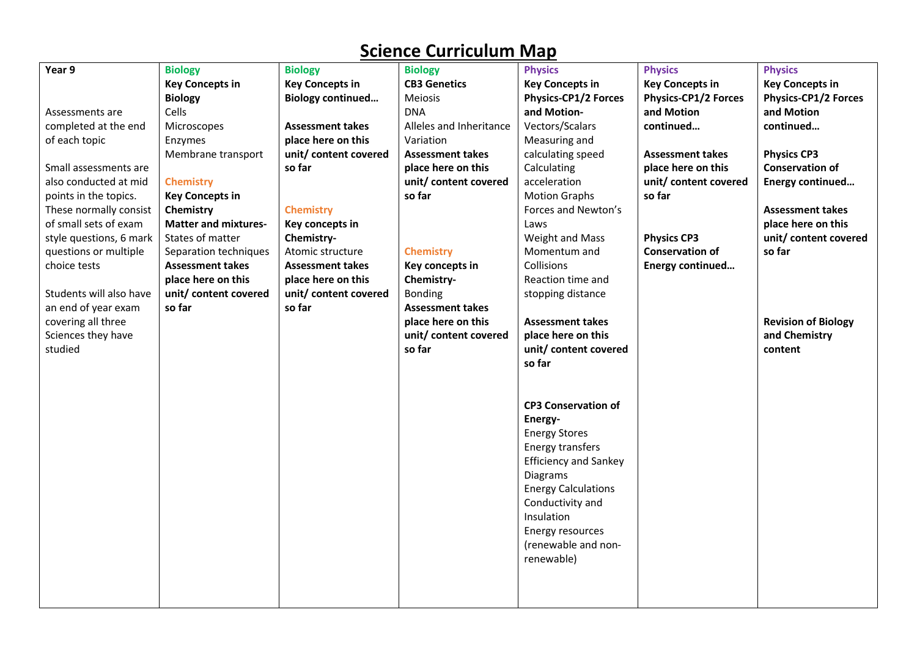| Year 9                  | <b>Biology</b>              | <b>Biology</b>           | <b>Biology</b>          | <b>Physics</b>               | <b>Physics</b>              | <b>Physics</b>              |
|-------------------------|-----------------------------|--------------------------|-------------------------|------------------------------|-----------------------------|-----------------------------|
|                         | <b>Key Concepts in</b>      | <b>Key Concepts in</b>   | <b>CB3 Genetics</b>     | <b>Key Concepts in</b>       | <b>Key Concepts in</b>      | <b>Key Concepts in</b>      |
|                         | <b>Biology</b>              | <b>Biology continued</b> | Meiosis                 | <b>Physics-CP1/2 Forces</b>  | <b>Physics-CP1/2 Forces</b> | <b>Physics-CP1/2 Forces</b> |
| Assessments are         | Cells                       |                          | <b>DNA</b>              | and Motion-                  | and Motion                  | and Motion                  |
| completed at the end    | Microscopes                 | <b>Assessment takes</b>  | Alleles and Inheritance | Vectors/Scalars              | continued                   | continued                   |
| of each topic           | Enzymes                     | place here on this       | Variation               | Measuring and                |                             |                             |
|                         | Membrane transport          | unit/ content covered    | <b>Assessment takes</b> | calculating speed            | <b>Assessment takes</b>     | <b>Physics CP3</b>          |
| Small assessments are   |                             | so far                   | place here on this      | Calculating                  | place here on this          | <b>Conservation of</b>      |
| also conducted at mid   | <b>Chemistry</b>            |                          | unit/ content covered   | acceleration                 | unit/ content covered       | Energy continued            |
| points in the topics.   | <b>Key Concepts in</b>      |                          | so far                  | <b>Motion Graphs</b>         | so far                      |                             |
| These normally consist  | Chemistry                   | <b>Chemistry</b>         |                         | Forces and Newton's          |                             | <b>Assessment takes</b>     |
| of small sets of exam   | <b>Matter and mixtures-</b> | Key concepts in          |                         | Laws                         |                             | place here on this          |
| style questions, 6 mark | States of matter            | Chemistry-               |                         | Weight and Mass              | <b>Physics CP3</b>          | unit/ content covered       |
| questions or multiple   | Separation techniques       | Atomic structure         | <b>Chemistry</b>        | Momentum and                 | <b>Conservation of</b>      | so far                      |
| choice tests            | <b>Assessment takes</b>     | <b>Assessment takes</b>  | Key concepts in         | Collisions                   | Energy continued            |                             |
|                         | place here on this          | place here on this       | Chemistry-              | Reaction time and            |                             |                             |
| Students will also have | unit/ content covered       | unit/ content covered    | <b>Bonding</b>          | stopping distance            |                             |                             |
| an end of year exam     | so far                      | so far                   | <b>Assessment takes</b> |                              |                             |                             |
| covering all three      |                             |                          | place here on this      | <b>Assessment takes</b>      |                             | <b>Revision of Biology</b>  |
| Sciences they have      |                             |                          | unit/ content covered   | place here on this           |                             | and Chemistry               |
| studied                 |                             |                          | so far                  | unit/ content covered        |                             | content                     |
|                         |                             |                          |                         | so far                       |                             |                             |
|                         |                             |                          |                         |                              |                             |                             |
|                         |                             |                          |                         |                              |                             |                             |
|                         |                             |                          |                         | <b>CP3 Conservation of</b>   |                             |                             |
|                         |                             |                          |                         | Energy-                      |                             |                             |
|                         |                             |                          |                         | <b>Energy Stores</b>         |                             |                             |
|                         |                             |                          |                         | Energy transfers             |                             |                             |
|                         |                             |                          |                         | <b>Efficiency and Sankey</b> |                             |                             |
|                         |                             |                          |                         | Diagrams                     |                             |                             |
|                         |                             |                          |                         | <b>Energy Calculations</b>   |                             |                             |
|                         |                             |                          |                         | Conductivity and             |                             |                             |
|                         |                             |                          |                         | Insulation                   |                             |                             |
|                         |                             |                          |                         | Energy resources             |                             |                             |
|                         |                             |                          |                         | (renewable and non-          |                             |                             |
|                         |                             |                          |                         | renewable)                   |                             |                             |
|                         |                             |                          |                         |                              |                             |                             |
|                         |                             |                          |                         |                              |                             |                             |
|                         |                             |                          |                         |                              |                             |                             |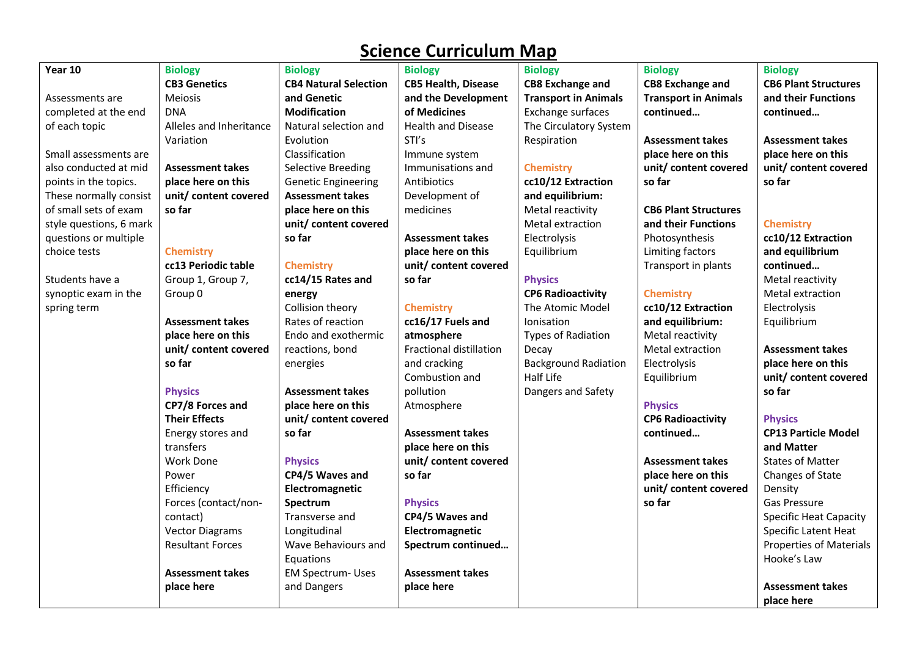| Year 10                 | <b>Biology</b>          | <b>Biology</b>               | <b>Biology</b>             | <b>Biology</b>              | <b>Biology</b>              | <b>Biology</b>                |
|-------------------------|-------------------------|------------------------------|----------------------------|-----------------------------|-----------------------------|-------------------------------|
|                         | <b>CB3 Genetics</b>     | <b>CB4 Natural Selection</b> | <b>CB5 Health, Disease</b> | <b>CB8 Exchange and</b>     | <b>CB8 Exchange and</b>     | <b>CB6 Plant Structures</b>   |
| Assessments are         | <b>Meiosis</b>          | and Genetic                  | and the Development        | <b>Transport in Animals</b> | <b>Transport in Animals</b> | and their Functions           |
| completed at the end    | <b>DNA</b>              | <b>Modification</b>          | of Medicines               | Exchange surfaces           | continued                   | continued                     |
| of each topic           | Alleles and Inheritance | Natural selection and        | Health and Disease         | The Circulatory System      |                             |                               |
|                         | Variation               | Evolution                    | STI's                      | Respiration                 | <b>Assessment takes</b>     | <b>Assessment takes</b>       |
| Small assessments are   |                         | Classification               | Immune system              |                             | place here on this          | place here on this            |
| also conducted at mid   | <b>Assessment takes</b> | <b>Selective Breeding</b>    | Immunisations and          | <b>Chemistry</b>            | unit/ content covered       | unit/ content covered         |
| points in the topics.   | place here on this      | <b>Genetic Engineering</b>   | Antibiotics                | cc10/12 Extraction          | so far                      | so far                        |
| These normally consist  | unit/content covered    | <b>Assessment takes</b>      | Development of             | and equilibrium:            |                             |                               |
| of small sets of exam   | so far                  | place here on this           | medicines                  | Metal reactivity            | <b>CB6 Plant Structures</b> |                               |
| style questions, 6 mark |                         | unit/ content covered        |                            | Metal extraction            | and their Functions         | <b>Chemistry</b>              |
| questions or multiple   |                         | so far                       | <b>Assessment takes</b>    | Electrolysis                | Photosynthesis              | cc10/12 Extraction            |
| choice tests            | <b>Chemistry</b>        |                              | place here on this         | Equilibrium                 | Limiting factors            | and equilibrium               |
|                         | cc13 Periodic table     | <b>Chemistry</b>             | unit/ content covered      |                             | Transport in plants         | continued                     |
| Students have a         | Group 1, Group 7,       | cc14/15 Rates and            | so far                     | <b>Physics</b>              |                             | Metal reactivity              |
| synoptic exam in the    | Group 0                 | energy                       |                            | <b>CP6 Radioactivity</b>    | <b>Chemistry</b>            | Metal extraction              |
| spring term             |                         | Collision theory             | <b>Chemistry</b>           | The Atomic Model            | cc10/12 Extraction          | Electrolysis                  |
|                         | <b>Assessment takes</b> | Rates of reaction            | cc16/17 Fuels and          | Ionisation                  | and equilibrium:            | Equilibrium                   |
|                         | place here on this      | Endo and exothermic          | atmosphere                 | <b>Types of Radiation</b>   | Metal reactivity            |                               |
|                         | unit/ content covered   | reactions, bond              | Fractional distillation    | Decay                       | Metal extraction            | <b>Assessment takes</b>       |
|                         | so far                  | energies                     | and cracking               | <b>Background Radiation</b> | Electrolysis                | place here on this            |
|                         |                         |                              | Combustion and             | Half Life                   | Equilibrium                 | unit/ content covered         |
|                         | <b>Physics</b>          | <b>Assessment takes</b>      | pollution                  | Dangers and Safety          |                             | so far                        |
|                         | CP7/8 Forces and        | place here on this           | Atmosphere                 |                             | <b>Physics</b>              |                               |
|                         | <b>Their Effects</b>    | unit/ content covered        |                            |                             | <b>CP6 Radioactivity</b>    | <b>Physics</b>                |
|                         | Energy stores and       | so far                       | <b>Assessment takes</b>    |                             | continued                   | <b>CP13 Particle Model</b>    |
|                         | transfers               |                              | place here on this         |                             |                             | and Matter                    |
|                         | Work Done               | <b>Physics</b>               | unit/content covered       |                             | <b>Assessment takes</b>     | <b>States of Matter</b>       |
|                         | Power                   | CP4/5 Waves and              | so far                     |                             | place here on this          | Changes of State              |
|                         | Efficiency              | Electromagnetic              |                            |                             | unit/ content covered       | Density                       |
|                         | Forces (contact/non-    | Spectrum                     | <b>Physics</b>             |                             | so far                      | <b>Gas Pressure</b>           |
|                         | contact)                | Transverse and               | CP4/5 Waves and            |                             |                             | <b>Specific Heat Capacity</b> |
|                         | <b>Vector Diagrams</b>  | Longitudinal                 | Electromagnetic            |                             |                             | Specific Latent Heat          |
|                         | <b>Resultant Forces</b> | Wave Behaviours and          | Spectrum continued         |                             |                             | Properties of Materials       |
|                         |                         | Equations                    |                            |                             |                             | Hooke's Law                   |
|                         | <b>Assessment takes</b> | <b>EM Spectrum- Uses</b>     | <b>Assessment takes</b>    |                             |                             |                               |
|                         | place here              | and Dangers                  | place here                 |                             |                             | <b>Assessment takes</b>       |
|                         |                         |                              |                            |                             |                             | place here                    |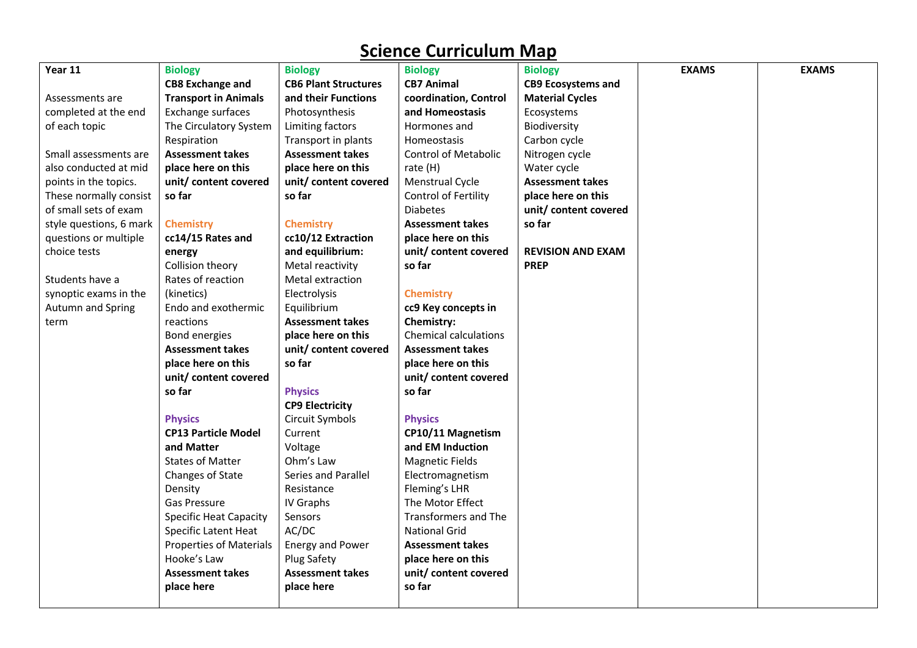| Year 11                  | <b>Biology</b>                 | <b>Biology</b>              | <b>Biology</b>               | <b>Biology</b>            | <b>EXAMS</b> | <b>EXAMS</b> |
|--------------------------|--------------------------------|-----------------------------|------------------------------|---------------------------|--------------|--------------|
|                          | <b>CB8 Exchange and</b>        | <b>CB6 Plant Structures</b> | <b>CB7 Animal</b>            | <b>CB9 Ecosystems and</b> |              |              |
| Assessments are          | <b>Transport in Animals</b>    | and their Functions         | coordination, Control        | <b>Material Cycles</b>    |              |              |
| completed at the end     | Exchange surfaces              | Photosynthesis              | and Homeostasis              | Ecosystems                |              |              |
| of each topic            | The Circulatory System         | Limiting factors            | Hormones and                 | Biodiversity              |              |              |
|                          | Respiration                    | Transport in plants         | Homeostasis                  | Carbon cycle              |              |              |
| Small assessments are    | <b>Assessment takes</b>        | <b>Assessment takes</b>     | <b>Control of Metabolic</b>  | Nitrogen cycle            |              |              |
| also conducted at mid    | place here on this             | place here on this          | rate (H)                     | Water cycle               |              |              |
| points in the topics.    | unit/ content covered          | unit/ content covered       | Menstrual Cycle              | <b>Assessment takes</b>   |              |              |
| These normally consist   | so far                         | so far                      | Control of Fertility         | place here on this        |              |              |
| of small sets of exam    |                                |                             | <b>Diabetes</b>              | unit/ content covered     |              |              |
| style questions, 6 mark  | <b>Chemistry</b>               | <b>Chemistry</b>            | <b>Assessment takes</b>      | so far                    |              |              |
| questions or multiple    | cc14/15 Rates and              | cc10/12 Extraction          | place here on this           |                           |              |              |
| choice tests             | energy                         | and equilibrium:            | unit/ content covered        | <b>REVISION AND EXAM</b>  |              |              |
|                          | Collision theory               | Metal reactivity            | so far                       | <b>PREP</b>               |              |              |
| Students have a          | Rates of reaction              | Metal extraction            |                              |                           |              |              |
| synoptic exams in the    | (kinetics)                     | Electrolysis                | <b>Chemistry</b>             |                           |              |              |
| <b>Autumn and Spring</b> | Endo and exothermic            | Equilibrium                 | cc9 Key concepts in          |                           |              |              |
| term                     | reactions                      | <b>Assessment takes</b>     | Chemistry:                   |                           |              |              |
|                          | Bond energies                  | place here on this          | <b>Chemical calculations</b> |                           |              |              |
|                          | <b>Assessment takes</b>        | unit/ content covered       | <b>Assessment takes</b>      |                           |              |              |
|                          | place here on this             | so far                      | place here on this           |                           |              |              |
|                          | unit/ content covered          |                             | unit/ content covered        |                           |              |              |
|                          | so far                         | <b>Physics</b>              | so far                       |                           |              |              |
|                          |                                | <b>CP9 Electricity</b>      |                              |                           |              |              |
|                          | <b>Physics</b>                 | Circuit Symbols             | <b>Physics</b>               |                           |              |              |
|                          | <b>CP13 Particle Model</b>     | Current                     | CP10/11 Magnetism            |                           |              |              |
|                          | and Matter                     | Voltage                     | and EM Induction             |                           |              |              |
|                          | <b>States of Matter</b>        | Ohm's Law                   | <b>Magnetic Fields</b>       |                           |              |              |
|                          | Changes of State               | Series and Parallel         | Electromagnetism             |                           |              |              |
|                          | Density                        | Resistance                  | Fleming's LHR                |                           |              |              |
|                          | Gas Pressure                   | IV Graphs                   | The Motor Effect             |                           |              |              |
|                          | <b>Specific Heat Capacity</b>  | Sensors                     | Transformers and The         |                           |              |              |
|                          | Specific Latent Heat           | AC/DC                       | <b>National Grid</b>         |                           |              |              |
|                          | <b>Properties of Materials</b> | <b>Energy and Power</b>     | <b>Assessment takes</b>      |                           |              |              |
|                          | Hooke's Law                    | Plug Safety                 | place here on this           |                           |              |              |
|                          | <b>Assessment takes</b>        | <b>Assessment takes</b>     | unit/ content covered        |                           |              |              |
|                          | place here                     | place here                  | so far                       |                           |              |              |
|                          |                                |                             |                              |                           |              |              |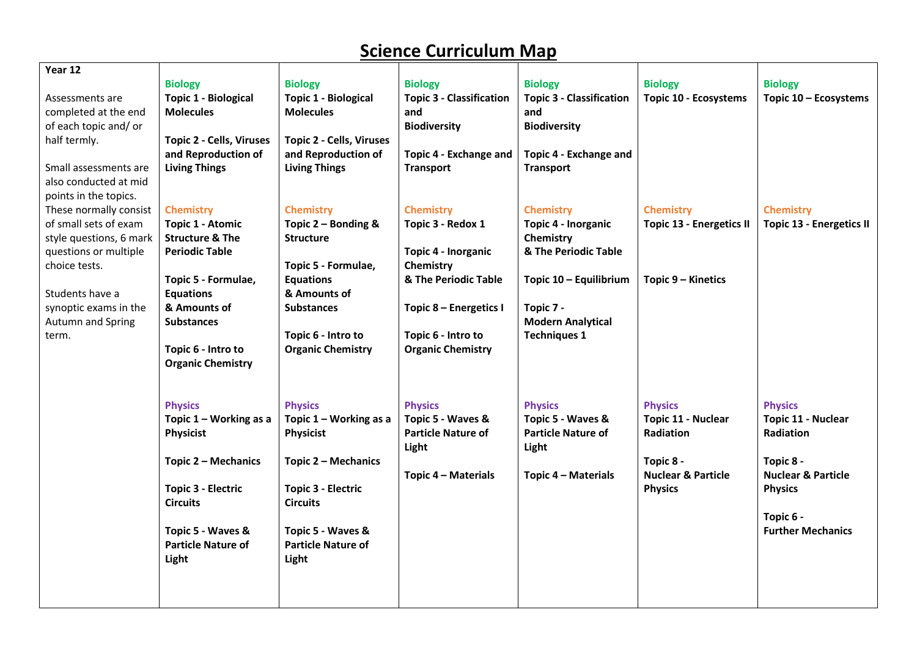| Year 12                  |                                 |                                 |                                 |                                 |                                 |                                 |
|--------------------------|---------------------------------|---------------------------------|---------------------------------|---------------------------------|---------------------------------|---------------------------------|
|                          | <b>Biology</b>                  | <b>Biology</b>                  | <b>Biology</b>                  | <b>Biology</b>                  | <b>Biology</b>                  | <b>Biology</b>                  |
| Assessments are          | <b>Topic 1 - Biological</b>     | <b>Topic 1 - Biological</b>     | <b>Topic 3 - Classification</b> | <b>Topic 3 - Classification</b> | Topic 10 - Ecosystems           | Topic 10 - Ecosystems           |
| completed at the end     | <b>Molecules</b>                | <b>Molecules</b>                | and                             | and                             |                                 |                                 |
| of each topic and/or     |                                 |                                 | <b>Biodiversity</b>             | <b>Biodiversity</b>             |                                 |                                 |
| half termly.             | <b>Topic 2 - Cells, Viruses</b> | <b>Topic 2 - Cells, Viruses</b> |                                 |                                 |                                 |                                 |
|                          | and Reproduction of             | and Reproduction of             | Topic 4 - Exchange and          | Topic 4 - Exchange and          |                                 |                                 |
| Small assessments are    | <b>Living Things</b>            | <b>Living Things</b>            | <b>Transport</b>                | <b>Transport</b>                |                                 |                                 |
| also conducted at mid    |                                 |                                 |                                 |                                 |                                 |                                 |
| points in the topics.    |                                 |                                 |                                 |                                 |                                 |                                 |
| These normally consist   | <b>Chemistry</b>                | <b>Chemistry</b>                | <b>Chemistry</b>                | <b>Chemistry</b>                | <b>Chemistry</b>                | <b>Chemistry</b>                |
| of small sets of exam    | <b>Topic 1 - Atomic</b>         | Topic 2 - Bonding &             | Topic 3 - Redox 1               | Topic 4 - Inorganic             | <b>Topic 13 - Energetics II</b> | <b>Topic 13 - Energetics II</b> |
| style questions, 6 mark  | <b>Structure &amp; The</b>      | <b>Structure</b>                |                                 | Chemistry                       |                                 |                                 |
| questions or multiple    | <b>Periodic Table</b>           |                                 | Topic 4 - Inorganic             | & The Periodic Table            |                                 |                                 |
| choice tests.            |                                 | Topic 5 - Formulae,             | Chemistry                       |                                 |                                 |                                 |
|                          | Topic 5 - Formulae,             | <b>Equations</b>                | & The Periodic Table            | Topic 10 - Equilibrium          | Topic 9 – Kinetics              |                                 |
| Students have a          | <b>Equations</b>                | & Amounts of                    |                                 |                                 |                                 |                                 |
| synoptic exams in the    | & Amounts of                    | <b>Substances</b>               | Topic 8 - Energetics I          | Topic 7 -                       |                                 |                                 |
| <b>Autumn and Spring</b> | <b>Substances</b>               |                                 |                                 | <b>Modern Analytical</b>        |                                 |                                 |
| term.                    |                                 | Topic 6 - Intro to              | Topic 6 - Intro to              | <b>Techniques 1</b>             |                                 |                                 |
|                          | Topic 6 - Intro to              | <b>Organic Chemistry</b>        | <b>Organic Chemistry</b>        |                                 |                                 |                                 |
|                          | <b>Organic Chemistry</b>        |                                 |                                 |                                 |                                 |                                 |
|                          |                                 |                                 |                                 |                                 |                                 |                                 |
|                          |                                 |                                 |                                 |                                 |                                 |                                 |
|                          | <b>Physics</b>                  | <b>Physics</b>                  | <b>Physics</b>                  | <b>Physics</b>                  | <b>Physics</b>                  | <b>Physics</b>                  |
|                          | Topic $1 -$ Working as a        | Topic $1 -$ Working as a        | Topic 5 - Waves &               | Topic 5 - Waves &               | <b>Topic 11 - Nuclear</b>       | Topic 11 - Nuclear              |
|                          | Physicist                       | Physicist                       | <b>Particle Nature of</b>       | <b>Particle Nature of</b>       | Radiation                       | <b>Radiation</b>                |
|                          |                                 |                                 | Light                           | Light                           |                                 |                                 |
|                          | Topic 2 - Mechanics             | Topic 2 - Mechanics             |                                 |                                 | Topic 8 -                       | Topic 8 -                       |
|                          |                                 |                                 | Topic 4 - Materials             | Topic 4 - Materials             | <b>Nuclear &amp; Particle</b>   | <b>Nuclear &amp; Particle</b>   |
|                          | <b>Topic 3 - Electric</b>       | <b>Topic 3 - Electric</b>       |                                 |                                 | <b>Physics</b>                  | <b>Physics</b>                  |
|                          | <b>Circuits</b>                 | <b>Circuits</b>                 |                                 |                                 |                                 |                                 |
|                          |                                 |                                 |                                 |                                 |                                 | Topic 6 -                       |
|                          | Topic 5 - Waves &               | Topic 5 - Waves &               |                                 |                                 |                                 | <b>Further Mechanics</b>        |
|                          | <b>Particle Nature of</b>       | <b>Particle Nature of</b>       |                                 |                                 |                                 |                                 |
|                          | Light                           | Light                           |                                 |                                 |                                 |                                 |
|                          |                                 |                                 |                                 |                                 |                                 |                                 |
|                          |                                 |                                 |                                 |                                 |                                 |                                 |
|                          |                                 |                                 |                                 |                                 |                                 |                                 |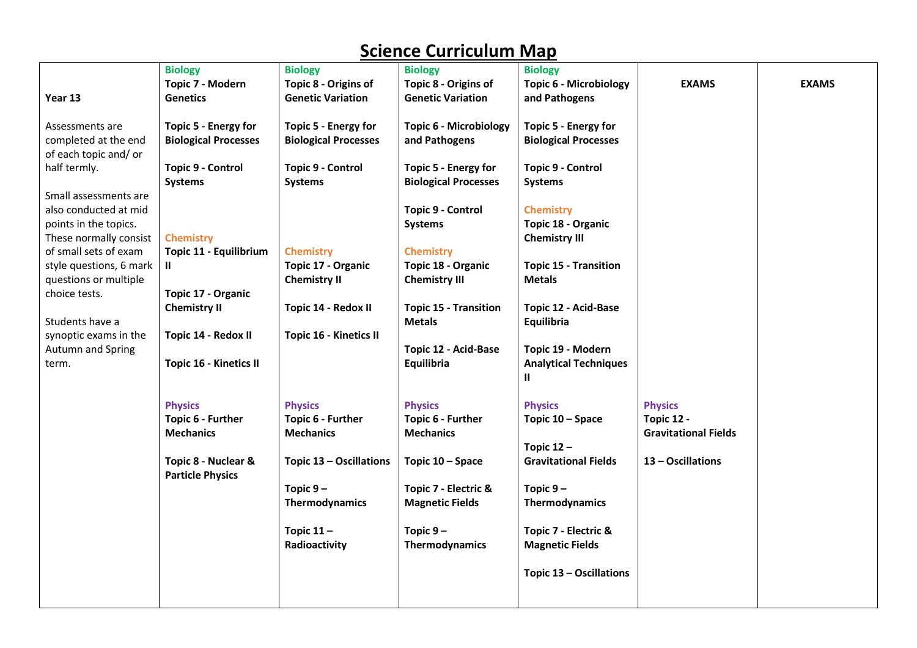|                         | <b>Biology</b>              | <b>Biology</b>                | <b>Biology</b>                | <b>Biology</b>                |                             |              |
|-------------------------|-----------------------------|-------------------------------|-------------------------------|-------------------------------|-----------------------------|--------------|
|                         | Topic 7 - Modern            | Topic 8 - Origins of          | Topic 8 - Origins of          | <b>Topic 6 - Microbiology</b> | <b>EXAMS</b>                | <b>EXAMS</b> |
| Year 13                 | <b>Genetics</b>             | <b>Genetic Variation</b>      | <b>Genetic Variation</b>      | and Pathogens                 |                             |              |
|                         |                             |                               |                               |                               |                             |              |
| Assessments are         | Topic 5 - Energy for        | Topic 5 - Energy for          | <b>Topic 6 - Microbiology</b> | Topic 5 - Energy for          |                             |              |
| completed at the end    | <b>Biological Processes</b> | <b>Biological Processes</b>   | and Pathogens                 | <b>Biological Processes</b>   |                             |              |
| of each topic and/or    |                             |                               |                               |                               |                             |              |
| half termly.            | <b>Topic 9 - Control</b>    | <b>Topic 9 - Control</b>      | Topic 5 - Energy for          | <b>Topic 9 - Control</b>      |                             |              |
|                         | <b>Systems</b>              | <b>Systems</b>                | <b>Biological Processes</b>   | <b>Systems</b>                |                             |              |
| Small assessments are   |                             |                               |                               |                               |                             |              |
| also conducted at mid   |                             |                               | <b>Topic 9 - Control</b>      | <b>Chemistry</b>              |                             |              |
| points in the topics.   |                             |                               | <b>Systems</b>                | Topic 18 - Organic            |                             |              |
|                         |                             |                               |                               |                               |                             |              |
| These normally consist  | <b>Chemistry</b>            |                               |                               | <b>Chemistry III</b>          |                             |              |
| of small sets of exam   | Topic 11 - Equilibrium      | <b>Chemistry</b>              | <b>Chemistry</b>              |                               |                             |              |
| style questions, 6 mark | $\mathbf{u}$                | Topic 17 - Organic            | Topic 18 - Organic            | <b>Topic 15 - Transition</b>  |                             |              |
| questions or multiple   |                             | <b>Chemistry II</b>           | <b>Chemistry III</b>          | <b>Metals</b>                 |                             |              |
| choice tests.           | Topic 17 - Organic          |                               |                               |                               |                             |              |
|                         | <b>Chemistry II</b>         | Topic 14 - Redox II           | <b>Topic 15 - Transition</b>  | Topic 12 - Acid-Base          |                             |              |
| Students have a         |                             |                               | <b>Metals</b>                 | Equilibria                    |                             |              |
| synoptic exams in the   | Topic 14 - Redox II         | <b>Topic 16 - Kinetics II</b> |                               |                               |                             |              |
| Autumn and Spring       |                             |                               | Topic 12 - Acid-Base          | Topic 19 - Modern             |                             |              |
| term.                   | Topic 16 - Kinetics II      |                               | Equilibria                    | <b>Analytical Techniques</b>  |                             |              |
|                         |                             |                               |                               | Ш                             |                             |              |
|                         |                             |                               |                               |                               |                             |              |
|                         | <b>Physics</b>              | <b>Physics</b>                | <b>Physics</b>                | <b>Physics</b>                | <b>Physics</b>              |              |
|                         | Topic 6 - Further           | Topic 6 - Further             | Topic 6 - Further             | Topic 10 - Space              | <b>Topic 12 -</b>           |              |
|                         | <b>Mechanics</b>            | <b>Mechanics</b>              | <b>Mechanics</b>              |                               | <b>Gravitational Fields</b> |              |
|                         |                             |                               |                               | Topic $12 -$                  |                             |              |
|                         | Topic 8 - Nuclear &         | Topic 13 - Oscillations       | Topic 10 - Space              | <b>Gravitational Fields</b>   | 13 - Oscillations           |              |
|                         | <b>Particle Physics</b>     |                               |                               |                               |                             |              |
|                         |                             | Topic $9-$                    | Topic 7 - Electric &          | Topic $9-$                    |                             |              |
|                         |                             |                               |                               |                               |                             |              |
|                         |                             | Thermodynamics                | <b>Magnetic Fields</b>        | Thermodynamics                |                             |              |
|                         |                             |                               |                               |                               |                             |              |
|                         |                             | Topic $11 -$                  | Topic $9-$                    | Topic 7 - Electric &          |                             |              |
|                         |                             | Radioactivity                 | Thermodynamics                | <b>Magnetic Fields</b>        |                             |              |
|                         |                             |                               |                               |                               |                             |              |
|                         |                             |                               |                               | Topic 13 - Oscillations       |                             |              |
|                         |                             |                               |                               |                               |                             |              |
|                         |                             |                               |                               |                               |                             |              |